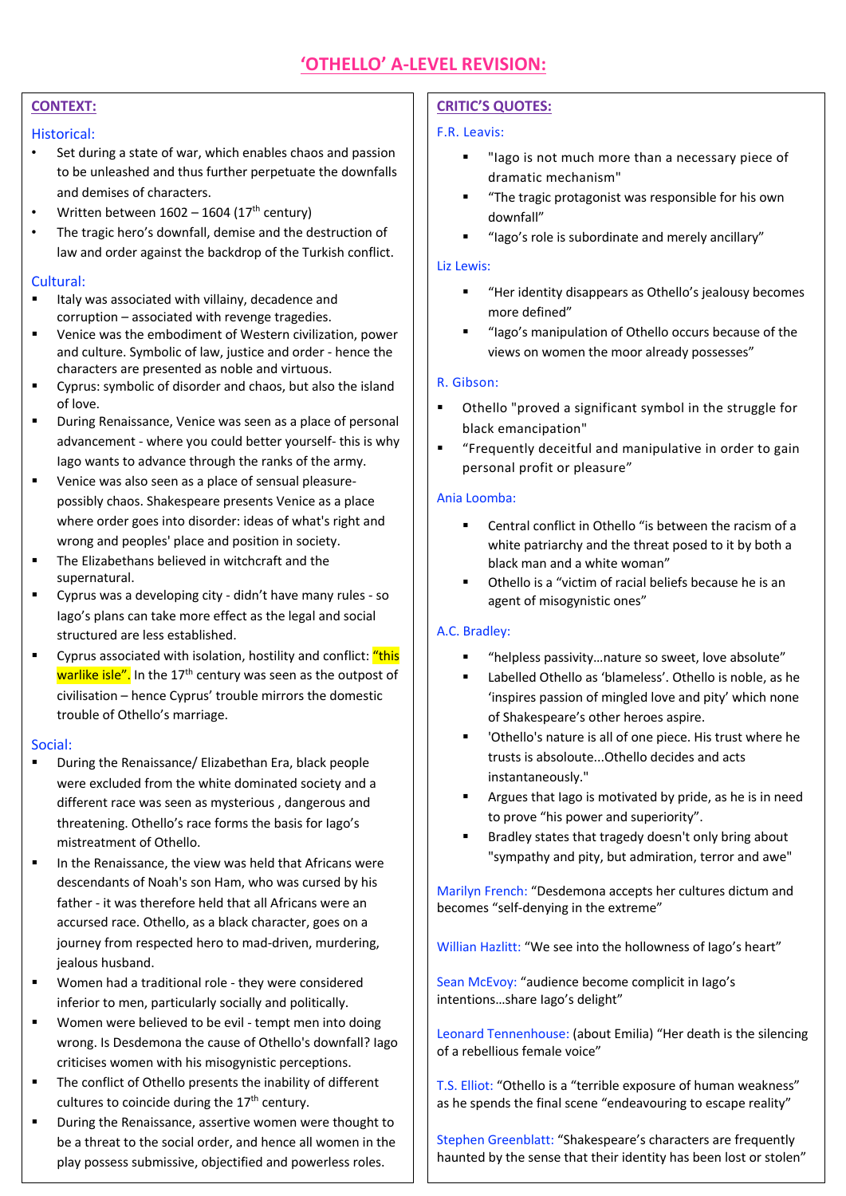# **CONTEXT:**

#### Historical:

- Set during a state of war, which enables chaos and passion to be unleashed and thus further perpetuate the downfalls and demises of characters.
- Written between  $1602 1604$  ( $17<sup>th</sup>$  century)
- The tragic hero's downfall, demise and the destruction of law and order against the backdrop of the Turkish conflict.

#### Cultural:

- Italy was associated with villainy, decadence and corruption – associated with revenge tragedies.
- Venice was the embodiment of Western civilization, power and culture. Symbolic of law, justice and order - hence the characters are presented as noble and virtuous.
- Cyprus: symbolic of disorder and chaos, but also the island of love.
- During Renaissance, Venice was seen as a place of personal advancement - where you could better yourself- this is why Iago wants to advance through the ranks of the army.
- Venice was also seen as a place of sensual pleasurepossibly chaos. Shakespeare presents Venice as a place where order goes into disorder: ideas of what's right and wrong and peoples' place and position in society.
- The Elizabethans believed in witchcraft and the supernatural.
- Cyprus was a developing city didn't have many rules so Iago's plans can take more effect as the legal and social structured are less established.
- Cyprus associated with isolation, hostility and conflict: "this warlike isle". In the 17<sup>th</sup> century was seen as the outpost of civilisation – hence Cyprus' trouble mirrors the domestic trouble of Othello's marriage.

#### Social:

- During the Renaissance/ Elizabethan Era, black people were excluded from the white dominated society and a different race was seen as mysterious , dangerous and threatening. Othello's race forms the basis for Iago's mistreatment of Othello.
- In the Renaissance, the view was held that Africans were descendants of Noah's son Ham, who was cursed by his father - it was therefore held that all Africans were an accursed race. Othello, as a black character, goes on a journey from respected hero to mad-driven, murdering, jealous husband.
- Women had a traditional role they were considered inferior to men, particularly socially and politically.
- § Women were believed to be evil tempt men into doing wrong. Is Desdemona the cause of Othello's downfall? Iago criticises women with his misogynistic perceptions.
- The conflict of Othello presents the inability of different cultures to coincide during the  $17<sup>th</sup>$  century.
- During the Renaissance, assertive women were thought to be a threat to the social order, and hence all women in the play possess submissive, objectified and powerless roles.

## **CRITIC'S QUOTES:**

#### F.R. Leavis:

- "Iago is not much more than a necessary piece of dramatic mechanism"
- "The tragic protagonist was responsible for his own downfall"
- § "Iago's role is subordinate and merely ancillary"

#### Liz Lewis:

- § "Her identity disappears as Othello's jealousy becomes more defined"
- § "Iago's manipulation of Othello occurs because of the views on women the moor already possesses"

#### R. Gibson:

- § Othello "proved a significant symbol in the struggle for black emancipation"
- § "Frequently deceitful and manipulative in order to gain personal profit or pleasure"

#### Ania Loomba:

- § Central conflict in Othello "is between the racism of a white patriarchy and the threat posed to it by both a black man and a white woman"
- § Othello is a "victim of racial beliefs because he is an agent of misogynistic ones"

## A.C. Bradley:

- § "helpless passivity…nature so sweet, love absolute"
- Labelled Othello as 'blameless'. Othello is noble, as he 'inspires passion of mingled love and pity' which none of Shakespeare's other heroes aspire.
- 'Othello's nature is all of one piece. His trust where he trusts is absoloute...Othello decides and acts instantaneously."
- Argues that Iago is motivated by pride, as he is in need to prove "his power and superiority".
- Bradley states that tragedy doesn't only bring about "sympathy and pity, but admiration, terror and awe"

Marilyn French: "Desdemona accepts her cultures dictum and becomes "self-denying in the extreme"

Willian Hazlitt: "We see into the hollowness of Iago's heart"

Sean McEvoy: "audience become complicit in Iago's intentions…share Iago's delight"

Leonard Tennenhouse: (about Emilia) "Her death is the silencing of a rebellious female voice"

T.S. Elliot: "Othello is a "terrible exposure of human weakness" as he spends the final scene "endeavouring to escape reality"

Stephen Greenblatt: "Shakespeare's characters are frequently haunted by the sense that their identity has been lost or stolen"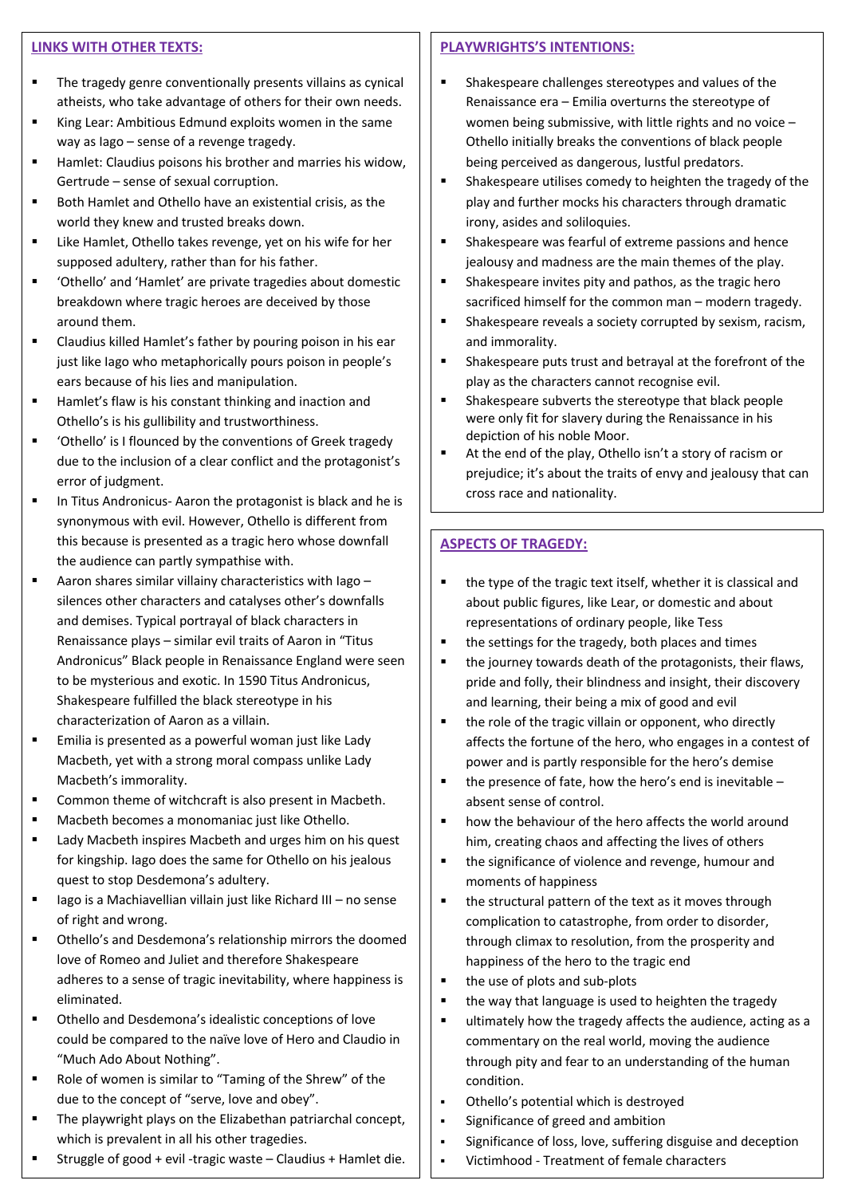#### **LINKS WITH OTHER TEXTS:**

- § The tragedy genre conventionally presents villains as cynical atheists, who take advantage of others for their own needs.
- King Lear: Ambitious Edmund exploits women in the same way as Iago – sense of a revenge tragedy.
- Hamlet: Claudius poisons his brother and marries his widow, Gertrude – sense of sexual corruption.
- § Both Hamlet and Othello have an existential crisis, as the world they knew and trusted breaks down.
- Like Hamlet, Othello takes revenge, yet on his wife for her supposed adultery, rather than for his father.
- § 'Othello' and 'Hamlet' are private tragedies about domestic breakdown where tragic heroes are deceived by those around them.
- Claudius killed Hamlet's father by pouring poison in his ear just like Iago who metaphorically pours poison in people's ears because of his lies and manipulation.
- Hamlet's flaw is his constant thinking and inaction and Othello's is his gullibility and trustworthiness.
- 'Othello' is I flounced by the conventions of Greek tragedy due to the inclusion of a clear conflict and the protagonist's error of judgment.
- In Titus Andronicus- Aaron the protagonist is black and he is synonymous with evil. However, Othello is different from this because is presented as a tragic hero whose downfall the audience can partly sympathise with.
- Aaron shares similar villainy characteristics with Iago silences other characters and catalyses other's downfalls and demises. Typical portrayal of black characters in Renaissance plays – similar evil traits of Aaron in "Titus Andronicus" Black people in Renaissance England were seen to be mysterious and exotic. In 1590 Titus Andronicus, Shakespeare fulfilled the black stereotype in his characterization of Aaron as a villain.
- Emilia is presented as a powerful woman just like Lady Macbeth, yet with a strong moral compass unlike Lady Macbeth's immorality.
- Common theme of witchcraft is also present in Macbeth.
- Macbeth becomes a monomaniac just like Othello.
- Lady Macbeth inspires Macbeth and urges him on his quest for kingship. Iago does the same for Othello on his jealous quest to stop Desdemona's adultery.
- $\blacksquare$  Iago is a Machiavellian villain just like Richard III no sense of right and wrong.
- § Othello's and Desdemona's relationship mirrors the doomed love of Romeo and Juliet and therefore Shakespeare adheres to a sense of tragic inevitability, where happiness is eliminated.
- Othello and Desdemona's idealistic conceptions of love could be compared to the naïve love of Hero and Claudio in "Much Ado About Nothing".
- Role of women is similar to "Taming of the Shrew" of the due to the concept of "serve, love and obey".
- The playwright plays on the Elizabethan patriarchal concept, which is prevalent in all his other tragedies.
- § Struggle of good + evil -tragic waste Claudius + Hamlet die.

# **PLAYWRIGHTS'S INTENTIONS:**

- § Shakespeare challenges stereotypes and values of the Renaissance era – Emilia overturns the stereotype of women being submissive, with little rights and no voice – Othello initially breaks the conventions of black people being perceived as dangerous, lustful predators.
- Shakespeare utilises comedy to heighten the tragedy of the play and further mocks his characters through dramatic irony, asides and soliloquies.
- Shakespeare was fearful of extreme passions and hence jealousy and madness are the main themes of the play.
- Shakespeare invites pity and pathos, as the tragic hero sacrificed himself for the common man – modern tragedy.
- Shakespeare reveals a society corrupted by sexism, racism, and immorality.
- Shakespeare puts trust and betrayal at the forefront of the play as the characters cannot recognise evil.
- Shakespeare subverts the stereotype that black people were only fit for slavery during the Renaissance in his depiction of his noble Moor.
- At the end of the play, Othello isn't a story of racism or prejudice; it's about the traits of envy and jealousy that can cross race and nationality.

# **ASPECTS OF TRAGEDY:**

- the type of the tragic text itself, whether it is classical and about public figures, like Lear, or domestic and about representations of ordinary people, like Tess
- the settings for the tragedy, both places and times
- the journey towards death of the protagonists, their flaws, pride and folly, their blindness and insight, their discovery and learning, their being a mix of good and evil
- the role of the tragic villain or opponent, who directly affects the fortune of the hero, who engages in a contest of power and is partly responsible for the hero's demise
- the presence of fate, how the hero's end is inevitable  $$ absent sense of control.
- how the behaviour of the hero affects the world around him, creating chaos and affecting the lives of others
- the significance of violence and revenge, humour and moments of happiness
- the structural pattern of the text as it moves through complication to catastrophe, from order to disorder, through climax to resolution, from the prosperity and happiness of the hero to the tragic end
- the use of plots and sub-plots
- the way that language is used to heighten the tragedy
- ultimately how the tragedy affects the audience, acting as a commentary on the real world, moving the audience through pity and fear to an understanding of the human condition.
- § Othello's potential which is destroyed
- § Significance of greed and ambition
- § Significance of loss, love, suffering disguise and deception
- § Victimhood Treatment of female characters